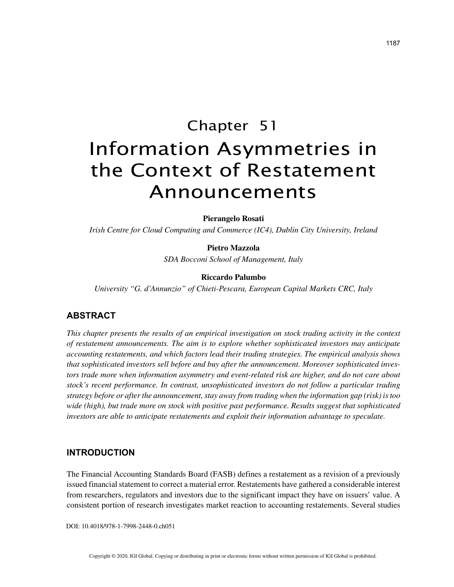# Chapter 51 Information Asymmetries in the Context of Restatement Announcements

**Pierangelo Rosati**

*Irish Centre for Cloud Computing and Commerce (IC4), Dublin City University, Ireland*

# **Pietro Mazzola**

*SDA Bocconi School of Management, Italy*

## **Riccardo Palumbo**

*University "G. d'Annunzio" of Chieti-Pescara, European Capital Markets CRC, Italy*

# **ABSTRACT**

*This chapter presents the results of an empirical investigation on stock trading activity in the context of restatement announcements. The aim is to explore whether sophisticated investors may anticipate accounting restatements, and which factors lead their trading strategies. The empirical analysis shows that sophisticated investors sell before and buy after the announcement. Moreover sophisticated investors trade more when information asymmetry and event-related risk are higher, and do not care about stock's recent performance. In contrast, unsophisticated investors do not follow a particular trading strategy before or after the announcement, stay away from trading when the information gap (risk) is too wide (high), but trade more on stock with positive past performance. Results suggest that sophisticated investors are able to anticipate restatements and exploit their information advantage to speculate.*

# **INTRODUCTION**

The Financial Accounting Standards Board (FASB) defines a restatement as a revision of a previously issued financial statement to correct a material error. Restatements have gathered a considerable interest from researchers, regulators and investors due to the significant impact they have on issuers' value. A consistent portion of research investigates market reaction to accounting restatements. Several studies

DOI: 10.4018/978-1-7998-2448-0.ch051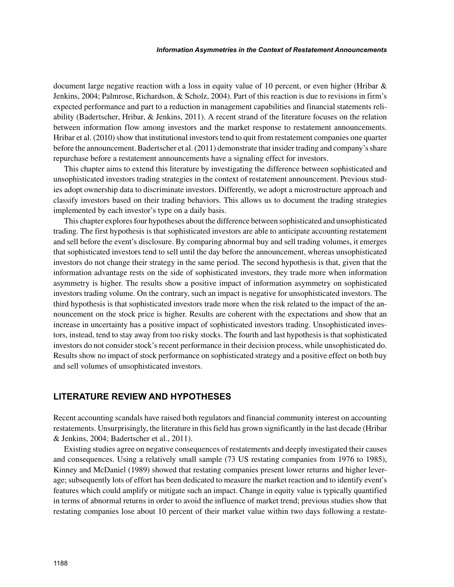document large negative reaction with a loss in equity value of 10 percent, or even higher (Hribar  $\&$ Jenkins, 2004; Palmrose, Richardson, & Scholz, 2004). Part of this reaction is due to revisions in firm's expected performance and part to a reduction in management capabilities and financial statements reliability (Badertscher, Hribar, & Jenkins, 2011). A recent strand of the literature focuses on the relation between information flow among investors and the market response to restatement announcements. Hribar et al. (2010) show that institutional investors tend to quit from restatement companies one quarter before the announcement. Badertscher et al. (2011) demonstrate that insider trading and company's share repurchase before a restatement announcements have a signaling effect for investors.

This chapter aims to extend this literature by investigating the difference between sophisticated and unsophisticated investors trading strategies in the context of restatement announcement. Previous studies adopt ownership data to discriminate investors. Differently, we adopt a microstructure approach and classify investors based on their trading behaviors. This allows us to document the trading strategies implemented by each investor's type on a daily basis.

This chapter explores four hypotheses about the difference between sophisticated and unsophisticated trading. The first hypothesis is that sophisticated investors are able to anticipate accounting restatement and sell before the event's disclosure. By comparing abnormal buy and sell trading volumes, it emerges that sophisticated investors tend to sell until the day before the announcement, whereas unsophisticated investors do not change their strategy in the same period. The second hypothesis is that, given that the information advantage rests on the side of sophisticated investors, they trade more when information asymmetry is higher. The results show a positive impact of information asymmetry on sophisticated investors trading volume. On the contrary, such an impact is negative for unsophisticated investors. The third hypothesis is that sophisticated investors trade more when the risk related to the impact of the announcement on the stock price is higher. Results are coherent with the expectations and show that an increase in uncertainty has a positive impact of sophisticated investors trading. Unsophisticated investors, instead, tend to stay away from too risky stocks. The fourth and last hypothesis is that sophisticated investors do not consider stock's recent performance in their decision process, while unsophisticated do. Results show no impact of stock performance on sophisticated strategy and a positive effect on both buy and sell volumes of unsophisticated investors.

# **LITERATURE REVIEW AND HYPOTHESES**

Recent accounting scandals have raised both regulators and financial community interest on accounting restatements. Unsurprisingly, the literature in this field has grown significantly in the last decade (Hribar & Jenkins, 2004; Badertscher et al., 2011).

Existing studies agree on negative consequences of restatements and deeply investigated their causes and consequences. Using a relatively small sample (73 US restating companies from 1976 to 1985), Kinney and McDaniel (1989) showed that restating companies present lower returns and higher leverage; subsequently lots of effort has been dedicated to measure the market reaction and to identify event's features which could amplify or mitigate such an impact. Change in equity value is typically quantified in terms of abnormal returns in order to avoid the influence of market trend; previous studies show that restating companies lose about 10 percent of their market value within two days following a restate